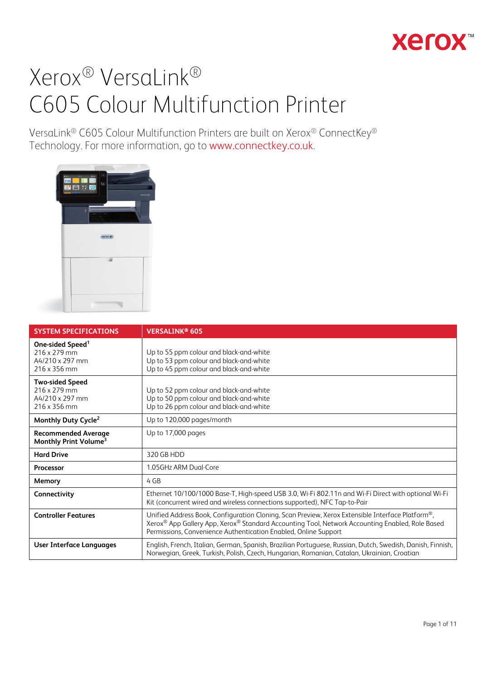## **Xerox**

## Xerox® VersaLink® C605 Colour Multifunction Printer

VersaLink® C605 Colour Multifunction Printers are built on Xerox® ConnectKey® Technology. For more information, go to [www.connectkey.co.uk](http://www.connectkey.co.uk/).



| <b>SYSTEM SPECIFICATIONS</b>                                                    | <b>VERSALINK® 605</b>                                                                                                                                                                                                                                                  |
|---------------------------------------------------------------------------------|------------------------------------------------------------------------------------------------------------------------------------------------------------------------------------------------------------------------------------------------------------------------|
| One-sided Speed <sup>1</sup><br>216 x 279 mm<br>A4/210 x 297 mm<br>216 x 356 mm | Up to 55 ppm colour and black-and-white<br>Up to 53 ppm colour and black-and-white<br>Up to 45 ppm colour and black-and-white                                                                                                                                          |
| <b>Two-sided Speed</b><br>216 x 279 mm<br>A4/210 x 297 mm<br>216 x 356 mm       | Up to 52 ppm colour and black-and-white<br>Up to 50 ppm colour and black-and-white<br>Up to 26 ppm colour and black-and-white                                                                                                                                          |
| Monthly Duty Cycle <sup>2</sup>                                                 | Up to 120,000 pages/month                                                                                                                                                                                                                                              |
| <b>Recommended Average</b><br>Monthly Print Volume <sup>3</sup>                 | Up to 17,000 pages                                                                                                                                                                                                                                                     |
| <b>Hard Drive</b>                                                               | 320 GB HDD                                                                                                                                                                                                                                                             |
| <b>Processor</b>                                                                | 1.05GHz ARM Dual-Core                                                                                                                                                                                                                                                  |
| Memory                                                                          | 4 GB                                                                                                                                                                                                                                                                   |
| Connectivity                                                                    | Ethernet 10/100/1000 Base-T, High-speed USB 3.0, Wi-Fi 802.11n and Wi-Fi Direct with optional Wi-Fi<br>Kit (concurrent wired and wireless connections supported), NFC Tap-to-Pair                                                                                      |
| <b>Controller Features</b>                                                      | Unified Address Book, Configuration Cloning, Scan Preview, Xerox Extensible Interface Platform®,<br>Xerox® App Gallery App, Xerox® Standard Accounting Tool, Network Accounting Enabled, Role Based<br>Permissions, Convenience Authentication Enabled, Online Support |
| User Interface Languages                                                        | English, French, Italian, German, Spanish, Brazilian Portuguese, Russian, Dutch, Swedish, Danish, Finnish,<br>Norwegian, Greek, Turkish, Polish, Czech, Hungarian, Romanian, Catalan, Ukrainian, Croatian                                                              |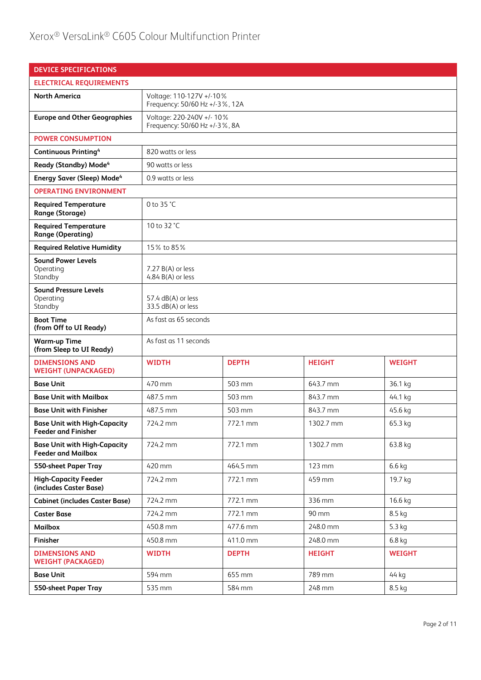| <b>DEVICE SPECIFICATIONS</b>                                      |                                                                |                                                            |               |               |
|-------------------------------------------------------------------|----------------------------------------------------------------|------------------------------------------------------------|---------------|---------------|
| <b>ELECTRICAL REQUIREMENTS</b>                                    |                                                                |                                                            |               |               |
| <b>North America</b>                                              | Voltage: 110-127V +/-10%<br>Frequency: 50/60 Hz +/-3%, 12A     |                                                            |               |               |
| <b>Europe and Other Geographies</b>                               |                                                                | Voltage: 220-240V +/- 10%<br>Frequency: 50/60 Hz +/-3%, 8A |               |               |
| <b>POWER CONSUMPTION</b>                                          |                                                                |                                                            |               |               |
| <b>Continuous Printing4</b>                                       | 820 watts or less                                              |                                                            |               |               |
| Ready (Standby) Mode <sup>4</sup>                                 | 90 watts or less                                               |                                                            |               |               |
| <b>Energy Saver (Sleep) Mode<sup>4</sup></b>                      | 0.9 watts or less                                              |                                                            |               |               |
| <b>OPERATING ENVIRONMENT</b>                                      |                                                                |                                                            |               |               |
| <b>Required Temperature</b><br><b>Range (Storage)</b>             | 0 to 35 °C                                                     |                                                            |               |               |
| <b>Required Temperature</b><br><b>Range (Operating)</b>           | 10 to 32 °C                                                    |                                                            |               |               |
| <b>Required Relative Humidity</b>                                 | 15% to 85%                                                     |                                                            |               |               |
| <b>Sound Power Levels</b><br>Operating<br>Standby                 | $7.27 B(A)$ or less<br>4.84 $B(A)$ or less                     |                                                            |               |               |
| <b>Sound Pressure Levels</b><br>Operating<br>Standby              | 57.4 dB(A) or less<br>33.5 dB(A) or less                       |                                                            |               |               |
| <b>Boot Time</b><br>(from Off to UI Ready)                        | As fast as 65 seconds                                          |                                                            |               |               |
| <b>Warm-up Time</b><br>(from Sleep to UI Ready)                   | As fast as 11 seconds                                          |                                                            |               |               |
| <b>DIMENSIONS AND</b><br><b>WEIGHT (UNPACKAGED)</b>               | <b>WIDTH</b>                                                   | <b>DEPTH</b>                                               | <b>HEIGHT</b> | <b>WEIGHT</b> |
| <b>Base Unit</b>                                                  | 470 mm                                                         | 503 mm                                                     | 643.7 mm      | 36.1 kg       |
| <b>Base Unit with Mailbox</b>                                     | 487.5 mm                                                       | 503 mm                                                     | 843.7 mm      | 44.1 kg       |
| <b>Base Unit with Finisher</b>                                    | 487.5 mm                                                       | 503 mm                                                     | 843.7 mm      | 45.6 kg       |
| <b>Base Unit with High-Capacity</b><br><b>Feeder and Finisher</b> | 724.2 mm                                                       | 772.1 mm                                                   | 1302.7 mm     | 65.3 kg       |
| <b>Base Unit with High-Capacity</b><br><b>Feeder and Mailbox</b>  | 724.2 mm                                                       | 772.1 mm                                                   | 1302.7 mm     | 63.8 kg       |
| 550-sheet Paper Tray                                              | 420 mm                                                         | 464.5 mm                                                   | 123 mm        | $6.6$ kg      |
| <b>High-Capacity Feeder</b><br>(includes Caster Base)             | 724.2 mm                                                       | 772.1 mm                                                   | 459 mm        | 19.7 kg       |
| <b>Cabinet (includes Caster Base)</b>                             | 724.2 mm                                                       | 772.1 mm                                                   | 336 mm        | 16.6 kg       |
| <b>Caster Base</b>                                                | 724.2 mm                                                       | 772.1 mm                                                   | 90 mm         | 8.5 kg        |
| <b>Mailbox</b>                                                    | 450.8 mm                                                       | 477.6 mm                                                   | 248.0 mm      | 5.3 kg        |
| Finisher                                                          | 450.8 mm                                                       | 411.0 mm                                                   | 248.0 mm      | $6.8$ kg      |
| <b>DIMENSIONS AND</b><br><b>WEIGHT (PACKAGED)</b>                 | <b>WIDTH</b><br><b>DEPTH</b><br><b>HEIGHT</b><br><b>WEIGHT</b> |                                                            |               |               |
| <b>Base Unit</b>                                                  | 594 mm<br>789 mm<br>655 mm<br>44 kg                            |                                                            |               |               |
| 550-sheet Paper Tray                                              | 535 mm                                                         | 584 mm                                                     | 248 mm        | 8.5 kg        |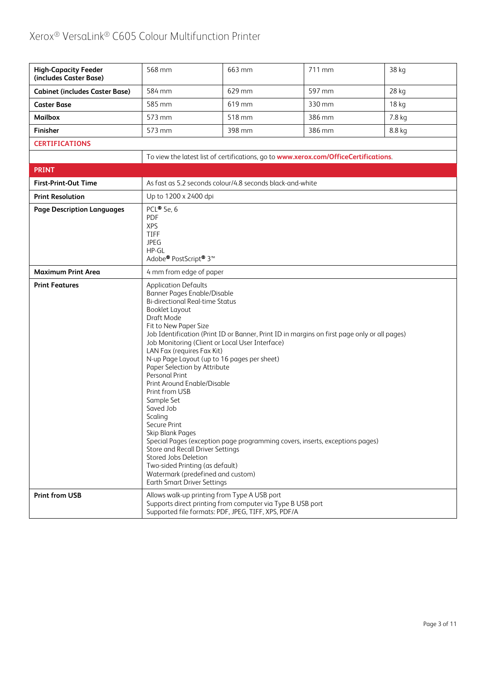| <b>High-Capacity Feeder</b><br>(includes Caster Base) | 568 mm                                                                                                                                                                                                                                                                                                                                                                                                                                                                                                                                                                                                                                                                                                                                                                                                                                      | 663 mm | 711 mm | 38 kg  |
|-------------------------------------------------------|---------------------------------------------------------------------------------------------------------------------------------------------------------------------------------------------------------------------------------------------------------------------------------------------------------------------------------------------------------------------------------------------------------------------------------------------------------------------------------------------------------------------------------------------------------------------------------------------------------------------------------------------------------------------------------------------------------------------------------------------------------------------------------------------------------------------------------------------|--------|--------|--------|
| <b>Cabinet (includes Caster Base)</b>                 | 584 mm                                                                                                                                                                                                                                                                                                                                                                                                                                                                                                                                                                                                                                                                                                                                                                                                                                      | 629 mm | 597 mm | 28 kg  |
| <b>Caster Base</b>                                    | 585 mm                                                                                                                                                                                                                                                                                                                                                                                                                                                                                                                                                                                                                                                                                                                                                                                                                                      | 619 mm | 330 mm | 18 kg  |
| <b>Mailbox</b>                                        | 573 mm                                                                                                                                                                                                                                                                                                                                                                                                                                                                                                                                                                                                                                                                                                                                                                                                                                      | 518 mm | 386 mm | 7.8 kg |
| Finisher                                              | 573 mm                                                                                                                                                                                                                                                                                                                                                                                                                                                                                                                                                                                                                                                                                                                                                                                                                                      | 398 mm | 386 mm | 8.8 kg |
| <b>CERTIFICATIONS</b>                                 |                                                                                                                                                                                                                                                                                                                                                                                                                                                                                                                                                                                                                                                                                                                                                                                                                                             |        |        |        |
|                                                       | To view the latest list of certifications, go to www.xerox.com/OfficeCertifications.                                                                                                                                                                                                                                                                                                                                                                                                                                                                                                                                                                                                                                                                                                                                                        |        |        |        |
| <b>PRINT</b>                                          |                                                                                                                                                                                                                                                                                                                                                                                                                                                                                                                                                                                                                                                                                                                                                                                                                                             |        |        |        |
| <b>First-Print-Out Time</b>                           | As fast as 5.2 seconds colour/4.8 seconds black-and-white                                                                                                                                                                                                                                                                                                                                                                                                                                                                                                                                                                                                                                                                                                                                                                                   |        |        |        |
| <b>Print Resolution</b>                               | Up to 1200 x 2400 dpi                                                                                                                                                                                                                                                                                                                                                                                                                                                                                                                                                                                                                                                                                                                                                                                                                       |        |        |        |
| <b>Page Description Languages</b>                     | PCL® 5e, 6<br><b>PDF</b><br><b>XPS</b><br>TIFF<br><b>JPEG</b><br>HP-GL<br>Adobe <sup>®</sup> PostScript <sup>®</sup> 3 <sup>™</sup>                                                                                                                                                                                                                                                                                                                                                                                                                                                                                                                                                                                                                                                                                                         |        |        |        |
| <b>Maximum Print Area</b>                             | 4 mm from edge of paper                                                                                                                                                                                                                                                                                                                                                                                                                                                                                                                                                                                                                                                                                                                                                                                                                     |        |        |        |
| <b>Print Features</b>                                 | <b>Application Defaults</b><br>Banner Pages Enable/Disable<br><b>Bi-directional Real-time Status</b><br><b>Booklet Layout</b><br>Draft Mode<br>Fit to New Paper Size<br>Job Identification (Print ID or Banner, Print ID in margins on first page only or all pages)<br>Job Monitoring (Client or Local User Interface)<br>LAN Fax (requires Fax Kit)<br>N-up Page Layout (up to 16 pages per sheet)<br>Paper Selection by Attribute<br>Personal Print<br>Print Around Enable/Disable<br>Print from USB<br>Sample Set<br>Saved Job<br>Scaling<br>Secure Print<br>Skip Blank Pages<br>Special Pages (exception page programming covers, inserts, exceptions pages)<br>Store and Recall Driver Settings<br>Stored Jobs Deletion<br>Two-sided Printing (as default)<br>Watermark (predefined and custom)<br><b>Earth Smart Driver Settings</b> |        |        |        |
| <b>Print from USB</b>                                 | Allows walk-up printing from Type A USB port<br>Supports direct printing from computer via Type B USB port<br>Supported file formats: PDF, JPEG, TIFF, XPS, PDF/A                                                                                                                                                                                                                                                                                                                                                                                                                                                                                                                                                                                                                                                                           |        |        |        |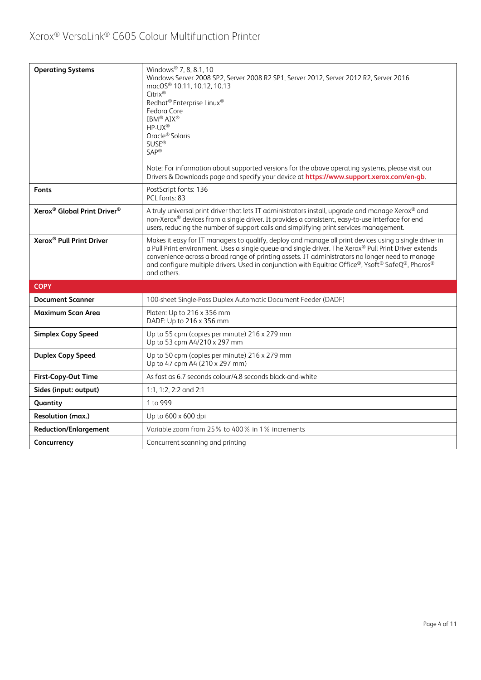| <b>Operating Systems</b>                            | Windows <sup>®</sup> 7, 8, 8.1, 10<br>Windows Server 2008 SP2, Server 2008 R2 SP1, Server 2012, Server 2012 R2, Server 2016<br>macOS® 10.11, 10.12, 10.13<br>Citrix®<br>Redhat <sup>®</sup> Enterprise Linux <sup>®</sup><br>Fedora Core<br>IBM <sup>®</sup> AIX <sup>®</sup><br>HP-UX®<br>Oracle <sup>®</sup> Solaris<br><b>SUSE®</b><br>$SAP^®$<br>Note: For information about supported versions for the above operating systems, please visit our<br>Drivers & Downloads page and specify your device at https://www.support.xerox.com/en-gb. |
|-----------------------------------------------------|---------------------------------------------------------------------------------------------------------------------------------------------------------------------------------------------------------------------------------------------------------------------------------------------------------------------------------------------------------------------------------------------------------------------------------------------------------------------------------------------------------------------------------------------------|
| <b>Fonts</b>                                        | PostScript fonts: 136<br>PCL fonts: 83                                                                                                                                                                                                                                                                                                                                                                                                                                                                                                            |
| Xerox <sup>®</sup> Global Print Driver <sup>®</sup> | A truly universal print driver that lets IT administrators install, upgrade and manage Xerox® and<br>non-Xerox® devices from a single driver. It provides a consistent, easy-to-use interface for end<br>users, reducing the number of support calls and simplifying print services management.                                                                                                                                                                                                                                                   |
| Xerox <sup>®</sup> Pull Print Driver                | Makes it easy for IT managers to qualify, deploy and manage all print devices using a single driver in<br>a Pull Print environment. Uses a single queue and single driver. The Xerox® Pull Print Driver extends<br>convenience across a broad range of printing assets. IT administrators no longer need to manage<br>and configure multiple drivers. Used in conjunction with Equitrac Office®, Ysoft® SafeQ®, Pharos®<br>and others.                                                                                                            |
| <b>COPY</b>                                         |                                                                                                                                                                                                                                                                                                                                                                                                                                                                                                                                                   |
| <b>Document Scanner</b>                             | 100-sheet Single-Pass Duplex Automatic Document Feeder (DADF)                                                                                                                                                                                                                                                                                                                                                                                                                                                                                     |
| <b>Maximum Scan Area</b>                            | Platen: Up to 216 x 356 mm<br>DADF: Up to 216 x 356 mm                                                                                                                                                                                                                                                                                                                                                                                                                                                                                            |
| <b>Simplex Copy Speed</b>                           | Up to 55 cpm (copies per minute) 216 x 279 mm<br>Up to 53 cpm A4/210 x 297 mm                                                                                                                                                                                                                                                                                                                                                                                                                                                                     |
| <b>Duplex Copy Speed</b>                            | Up to 50 cpm (copies per minute) 216 x 279 mm<br>Up to 47 cpm A4 (210 x 297 mm)                                                                                                                                                                                                                                                                                                                                                                                                                                                                   |
| <b>First-Copy-Out Time</b>                          | As fast as 6.7 seconds colour/4.8 seconds black-and-white                                                                                                                                                                                                                                                                                                                                                                                                                                                                                         |
| Sides (input: output)                               | 1:1, 1:2, 2:2 and 2:1                                                                                                                                                                                                                                                                                                                                                                                                                                                                                                                             |
| Quantity                                            | 1 to 999                                                                                                                                                                                                                                                                                                                                                                                                                                                                                                                                          |
| Resolution (max.)                                   | Up to 600 x 600 dpi                                                                                                                                                                                                                                                                                                                                                                                                                                                                                                                               |
| <b>Reduction/Enlargement</b>                        | Variable zoom from 25% to 400% in 1% increments                                                                                                                                                                                                                                                                                                                                                                                                                                                                                                   |
| Concurrency                                         | Concurrent scanning and printing                                                                                                                                                                                                                                                                                                                                                                                                                                                                                                                  |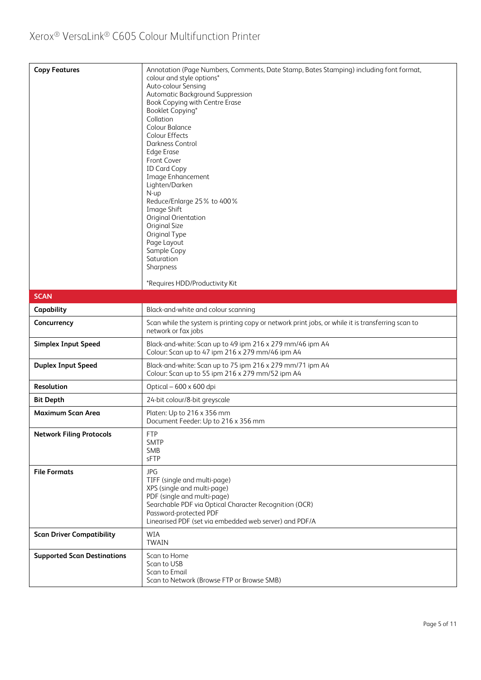| <b>Copy Features</b>               | Annotation (Page Numbers, Comments, Date Stamp, Bates Stamping) including font format,<br>colour and style options*<br>Auto-colour Sensing<br>Automatic Background Suppression<br>Book Copying with Centre Erase<br>Booklet Copying*<br>Collation<br>Colour Balance<br>Colour Effects<br>Darkness Control<br><b>Edge Erase</b><br>Front Cover<br><b>ID Card Copy</b><br>Image Enhancement<br>Lighten/Darken<br>N-up<br>Reduce/Enlarge 25% to 400%<br>Image Shift<br>Original Orientation<br><b>Original Size</b><br>Original Type<br>Page Layout<br>Sample Copy<br>Saturation<br>Sharpness<br>*Requires HDD/Productivity Kit |
|------------------------------------|------------------------------------------------------------------------------------------------------------------------------------------------------------------------------------------------------------------------------------------------------------------------------------------------------------------------------------------------------------------------------------------------------------------------------------------------------------------------------------------------------------------------------------------------------------------------------------------------------------------------------|
|                                    |                                                                                                                                                                                                                                                                                                                                                                                                                                                                                                                                                                                                                              |
| <b>SCAN</b>                        |                                                                                                                                                                                                                                                                                                                                                                                                                                                                                                                                                                                                                              |
| Capability                         | Black-and-white and colour scanning                                                                                                                                                                                                                                                                                                                                                                                                                                                                                                                                                                                          |
| Concurrency                        | Scan while the system is printing copy or network print jobs, or while it is transferring scan to<br>network or fax jobs                                                                                                                                                                                                                                                                                                                                                                                                                                                                                                     |
| <b>Simplex Input Speed</b>         | Black-and-white: Scan up to 49 ipm 216 x 279 mm/46 ipm A4<br>Colour: Scan up to 47 ipm 216 x 279 mm/46 ipm A4                                                                                                                                                                                                                                                                                                                                                                                                                                                                                                                |
| <b>Duplex Input Speed</b>          | Black-and-white: Scan up to 75 ipm 216 x 279 mm/71 ipm A4<br>Colour: Scan up to 55 ipm 216 x 279 mm/52 ipm A4                                                                                                                                                                                                                                                                                                                                                                                                                                                                                                                |
| Resolution                         | Optical - 600 x 600 dpi                                                                                                                                                                                                                                                                                                                                                                                                                                                                                                                                                                                                      |
| <b>Bit Depth</b>                   | 24-bit colour/8-bit greyscale                                                                                                                                                                                                                                                                                                                                                                                                                                                                                                                                                                                                |
| <b>Maximum Scan Area</b>           | Platen: Up to 216 x 356 mm<br>Document Feeder: Up to 216 x 356 mm                                                                                                                                                                                                                                                                                                                                                                                                                                                                                                                                                            |
| <b>Network Filing Protocols</b>    | <b>FTP</b><br><b>SMTP</b><br><b>SMB</b><br>sFTP                                                                                                                                                                                                                                                                                                                                                                                                                                                                                                                                                                              |
| <b>File Formats</b>                | <b>JPG</b><br>TIFF (single and multi-page)<br>XPS (single and multi-page)<br>PDF (single and multi-page)<br>Searchable PDF via Optical Character Recognition (OCR)<br>Password-protected PDF<br>Linearised PDF (set via embedded web server) and PDF/A                                                                                                                                                                                                                                                                                                                                                                       |
| <b>Scan Driver Compatibility</b>   | <b>WIA</b><br><b>TWAIN</b>                                                                                                                                                                                                                                                                                                                                                                                                                                                                                                                                                                                                   |
| <b>Supported Scan Destinations</b> | Scan to Home<br>Scan to USB<br>Scan to Email<br>Scan to Network (Browse FTP or Browse SMB)                                                                                                                                                                                                                                                                                                                                                                                                                                                                                                                                   |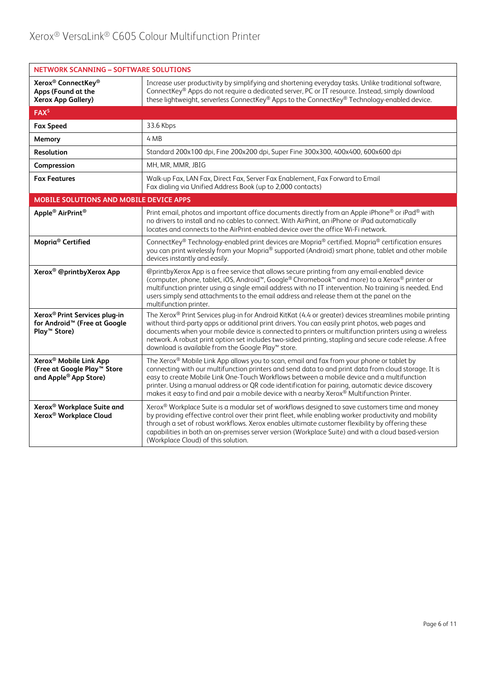| <b>NETWORK SCANNING - SOFTWARE SOLUTIONS</b>                                                                      |                                                                                                                                                                                                                                                                                                                                                                                                                                                                                                                |  |  |
|-------------------------------------------------------------------------------------------------------------------|----------------------------------------------------------------------------------------------------------------------------------------------------------------------------------------------------------------------------------------------------------------------------------------------------------------------------------------------------------------------------------------------------------------------------------------------------------------------------------------------------------------|--|--|
| Xerox <sup>®</sup> ConnectKey <sup>®</sup><br>Apps (Found at the<br><b>Xerox App Gallery)</b>                     | Increase user productivity by simplifying and shortening everyday tasks. Unlike traditional software,<br>ConnectKey® Apps do not require a dedicated server, PC or IT resource. Instead, simply download<br>these lightweight, serverless ConnectKey® Apps to the ConnectKey® Technology-enabled device.                                                                                                                                                                                                       |  |  |
| FAX <sup>5</sup>                                                                                                  |                                                                                                                                                                                                                                                                                                                                                                                                                                                                                                                |  |  |
| <b>Fax Speed</b>                                                                                                  | 33.6 Kbps                                                                                                                                                                                                                                                                                                                                                                                                                                                                                                      |  |  |
| Memory                                                                                                            | 4 MB                                                                                                                                                                                                                                                                                                                                                                                                                                                                                                           |  |  |
| <b>Resolution</b>                                                                                                 | Standard 200x100 dpi, Fine 200x200 dpi, Super Fine 300x300, 400x400, 600x600 dpi                                                                                                                                                                                                                                                                                                                                                                                                                               |  |  |
| Compression                                                                                                       | MH, MR, MMR, JBIG                                                                                                                                                                                                                                                                                                                                                                                                                                                                                              |  |  |
| <b>Fax Features</b>                                                                                               | Walk-up Fax, LAN Fax, Direct Fax, Server Fax Enablement, Fax Forward to Email<br>Fax dialing via Unified Address Book (up to 2,000 contacts)                                                                                                                                                                                                                                                                                                                                                                   |  |  |
| MOBILE SOLUTIONS AND MOBILE DEVICE APPS                                                                           |                                                                                                                                                                                                                                                                                                                                                                                                                                                                                                                |  |  |
| Apple <sup>®</sup> AirPrint <sup>®</sup>                                                                          | Print email, photos and important office documents directly from an Apple iPhone® or iPad® with<br>no drivers to install and no cables to connect. With AirPrint, an iPhone or iPad automatically<br>locates and connects to the AirPrint-enabled device over the office Wi-Fi network.                                                                                                                                                                                                                        |  |  |
| Mopria <sup>®</sup> Certified                                                                                     | ConnectKey® Technology-enabled print devices are Mopria® certified. Mopria® certification ensures<br>you can print wirelessly from your Mopria® supported (Android) smart phone, tablet and other mobile<br>devices instantly and easily.                                                                                                                                                                                                                                                                      |  |  |
| Xerox <sup>®</sup> @printbyXerox App                                                                              | @printbyXerox App is a free service that allows secure printing from any email-enabled device<br>(computer, phone, tablet, iOS, Android <sup>™</sup> , Google® Chromebook™ and more) to a Xerox® printer or<br>multifunction printer using a single email address with no IT intervention. No training is needed. End<br>users simply send attachments to the email address and release them at the panel on the<br>multifunction printer.                                                                     |  |  |
| Xerox <sup>®</sup> Print Services plug-in<br>for Android <sup>™</sup> (Free at Google<br>Play <sup>™</sup> Store) | The Xerox® Print Services plug-in for Android KitKat (4.4 or greater) devices streamlines mobile printing<br>without third-party apps or additional print drivers. You can easily print photos, web pages and<br>documents when your mobile device is connected to printers or multifunction printers using a wireless<br>network. A robust print option set includes two-sided printing, stapling and secure code release. A free<br>download is available from the Google Play™ store.                       |  |  |
| Xerox <sup>®</sup> Mobile Link App<br>(Free at Google Play <sup>™</sup> Store<br>and Apple® App Store)            | The Xerox® Mobile Link App allows you to scan, email and fax from your phone or tablet by<br>connecting with our multifunction printers and send data to and print data from cloud storage. It is<br>easy to create Mobile Link One-Touch Workflows between a mobile device and a multifunction<br>printer. Using a manual address or QR code identification for pairing, automatic device discovery<br>makes it easy to find and pair a mobile device with a nearby Xerox <sup>®</sup> Multifunction Printer. |  |  |
| Xerox <sup>®</sup> Workplace Suite and<br>Xerox <sup>®</sup> Workplace Cloud                                      | Xerox® Workplace Suite is a modular set of workflows designed to save customers time and money<br>by providing effective control over their print fleet, while enabling worker productivity and mobility<br>through a set of robust workflows. Xerox enables ultimate customer flexibility by offering these<br>capabilities in both an on-premises server version (Workplace Suite) and with a cloud based-version<br>(Workplace Cloud) of this solution.                                                     |  |  |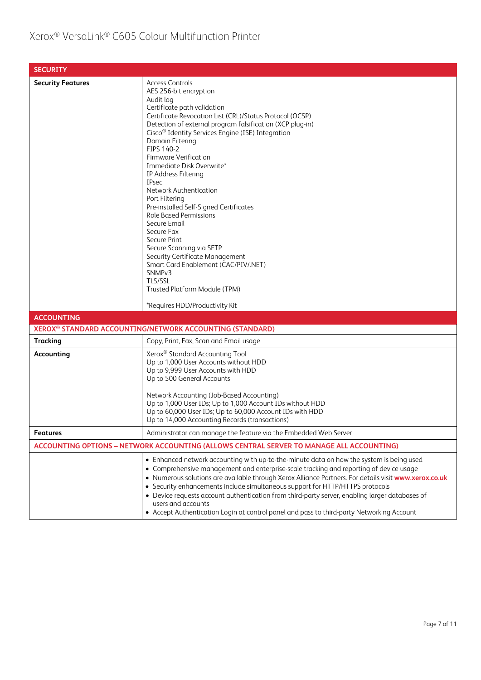| <b>SECURITY</b>          |                                                                                                                                                                                                                                                                                                                                                                                                                                                                                                                                                                                                                                                                                                                                                                             |
|--------------------------|-----------------------------------------------------------------------------------------------------------------------------------------------------------------------------------------------------------------------------------------------------------------------------------------------------------------------------------------------------------------------------------------------------------------------------------------------------------------------------------------------------------------------------------------------------------------------------------------------------------------------------------------------------------------------------------------------------------------------------------------------------------------------------|
| <b>Security Features</b> | <b>Access Controls</b><br>AES 256-bit encryption<br>Audit log<br>Certificate path validation<br>Certificate Revocation List (CRL)/Status Protocol (OCSP)<br>Detection of external program falsification (XCP plug-in)<br>Cisco <sup>®</sup> Identity Services Engine (ISE) Integration<br>Domain Filtering<br>FIPS 140-2<br><b>Firmware Verification</b><br>Immediate Disk Overwrite*<br>IP Address Filtering<br><b>IPsec</b><br>Network Authentication<br>Port Filtering<br>Pre-installed Self-Signed Certificates<br><b>Role Based Permissions</b><br>Secure Email<br>Secure Fax<br>Secure Print<br>Secure Scanning via SFTP<br>Security Certificate Management<br>Smart Card Enablement (CAC/PIV/.NET)<br>SNMP <sub>v3</sub><br>TLS/SSL<br>Trusted Platform Module (TPM) |
| <b>ACCOUNTING</b>        | *Requires HDD/Productivity Kit                                                                                                                                                                                                                                                                                                                                                                                                                                                                                                                                                                                                                                                                                                                                              |
|                          | XEROX <sup>®</sup> STANDARD ACCOUNTING/NETWORK ACCOUNTING (STANDARD)                                                                                                                                                                                                                                                                                                                                                                                                                                                                                                                                                                                                                                                                                                        |
| <b>Tracking</b>          | Copy, Print, Fax, Scan and Email usage                                                                                                                                                                                                                                                                                                                                                                                                                                                                                                                                                                                                                                                                                                                                      |
| Accounting               | Xerox <sup>®</sup> Standard Accounting Tool<br>Up to 1,000 User Accounts without HDD<br>Up to 9,999 User Accounts with HDD<br>Up to 500 General Accounts<br>Network Accounting (Job-Based Accounting)<br>Up to 1,000 User IDs; Up to 1,000 Account IDs without HDD<br>Up to 60,000 User IDs; Up to 60,000 Account IDs with HDD<br>Up to 14,000 Accounting Records (transactions)                                                                                                                                                                                                                                                                                                                                                                                            |
| <b>Features</b>          | Administrator can manage the feature via the Embedded Web Server                                                                                                                                                                                                                                                                                                                                                                                                                                                                                                                                                                                                                                                                                                            |
|                          | ACCOUNTING OPTIONS - NETWORK ACCOUNTING (ALLOWS CENTRAL SERVER TO MANAGE ALL ACCOUNTING)                                                                                                                                                                                                                                                                                                                                                                                                                                                                                                                                                                                                                                                                                    |
|                          | • Enhanced network accounting with up-to-the-minute data on how the system is being used<br>• Comprehensive management and enterprise-scale tracking and reporting of device usage<br>. Numerous solutions are available through Xerox Alliance Partners. For details visit www.xerox.co.uk<br>• Security enhancements include simultaneous support for HTTP/HTTPS protocols<br>• Device requests account authentication from third-party server, enabling larger databases of<br>users and accounts<br>• Accept Authentication Login at control panel and pass to third-party Networking Account                                                                                                                                                                           |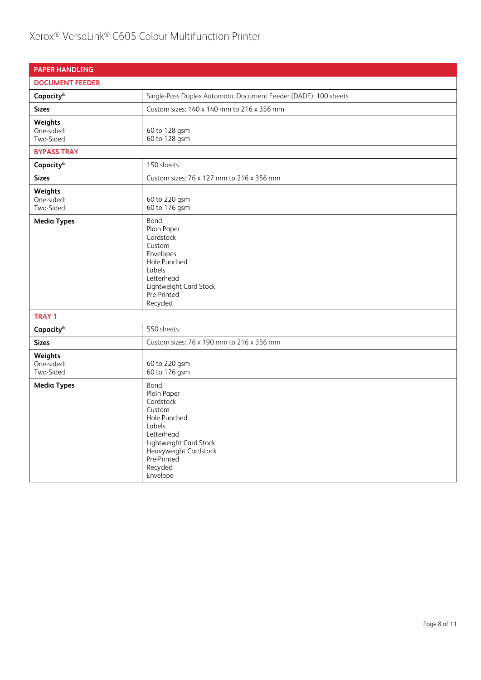## Xerox® VersaLink® C605 Colour Multifunction Printer

| <b>PAPER HANDLING</b>              |                                                                                                                                                                              |  |  |
|------------------------------------|------------------------------------------------------------------------------------------------------------------------------------------------------------------------------|--|--|
| <b>DOCUMENT FEEDER</b>             |                                                                                                                                                                              |  |  |
| Capacity <sup>6</sup>              | Single-Pass Duplex Automatic Document Feeder (DADF): 100 sheets                                                                                                              |  |  |
| <b>Sizes</b>                       | Custom sizes: 140 x 140 mm to 216 x 356 mm                                                                                                                                   |  |  |
| Weights<br>One-sided:<br>Two-Sided | 60 to 128 gsm<br>60 to 128 gsm                                                                                                                                               |  |  |
| <b>BYPASS TRAY</b>                 |                                                                                                                                                                              |  |  |
| Capacity <sup>6</sup>              | 150 sheets                                                                                                                                                                   |  |  |
| <b>Sizes</b>                       | Custom sizes: 76 x 127 mm to 216 x 356 mm                                                                                                                                    |  |  |
| Weights<br>One-sided:<br>Two-Sided | 60 to 220 gsm<br>60 to 176 gsm                                                                                                                                               |  |  |
| <b>Media Types</b>                 | Bond<br>Plain Paper<br>Cardstock<br>Custom<br>Envelopes<br>Hole Punched<br>Labels<br>Letterhead<br>Lightweight Card Stock<br>Pre-Printed<br>Recycled                         |  |  |
| <b>TRAY 1</b>                      |                                                                                                                                                                              |  |  |
| Capacity <sup>6</sup>              | 550 sheets                                                                                                                                                                   |  |  |
| <b>Sizes</b>                       | Custom sizes: 76 x 190 mm to 216 x 356 mm                                                                                                                                    |  |  |
| Weights<br>One-sided:<br>Two-Sided | 60 to 220 gsm<br>60 to 176 gsm                                                                                                                                               |  |  |
| <b>Media Types</b>                 | Bond<br>Plain Paper<br>Cardstock<br>Custom<br>Hole Punched<br>Labels<br>Letterhead<br>Lightweight Card Stock<br>Heavyweight Cardstock<br>Pre-Printed<br>Recycled<br>Envelope |  |  |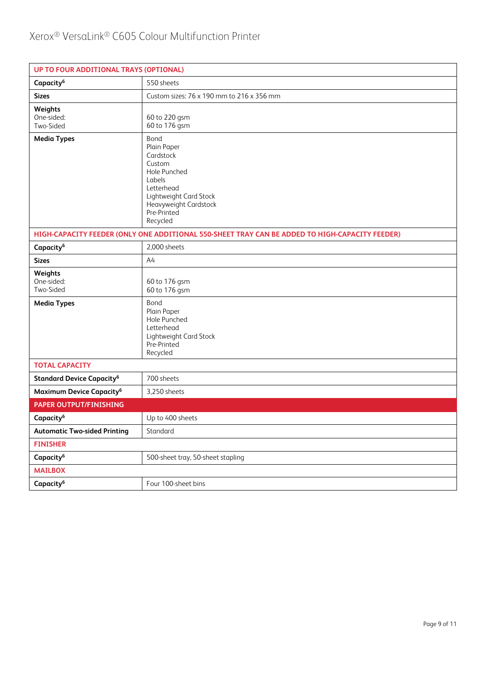| UP TO FOUR ADDITIONAL TRAYS (OPTIONAL)      |                                                                                                                                                                  |  |  |
|---------------------------------------------|------------------------------------------------------------------------------------------------------------------------------------------------------------------|--|--|
| Capacity <sup>6</sup>                       | 550 sheets                                                                                                                                                       |  |  |
| <b>Sizes</b>                                | Custom sizes: 76 x 190 mm to 216 x 356 mm                                                                                                                        |  |  |
| Weights<br>One-sided:<br>Two-Sided          | 60 to 220 gsm<br>60 to 176 gsm                                                                                                                                   |  |  |
| <b>Media Types</b>                          | Bond<br>Plain Paper<br>Cardstock<br>Custom<br>Hole Punched<br>Labels<br>Letterhead<br>Lightweight Card Stock<br>Heavyweight Cardstock<br>Pre-Printed<br>Recycled |  |  |
|                                             | HIGH-CAPACITY FEEDER (ONLY ONE ADDITIONAL 550-SHEET TRAY CAN BE ADDED TO HIGH-CAPACITY FEEDER)                                                                   |  |  |
| Capacity <sup>6</sup>                       | 2,000 sheets                                                                                                                                                     |  |  |
| <b>Sizes</b>                                | A4                                                                                                                                                               |  |  |
| Weights<br>One-sided:<br>Two-Sided          | 60 to 176 gsm<br>60 to 176 gsm                                                                                                                                   |  |  |
| <b>Media Types</b>                          | Bond<br>Plain Paper<br>Hole Punched<br>Letterhead<br>Lightweight Card Stock<br>Pre-Printed<br>Recycled                                                           |  |  |
| <b>TOTAL CAPACITY</b>                       |                                                                                                                                                                  |  |  |
| <b>Standard Device Capacity<sup>6</sup></b> | 700 sheets                                                                                                                                                       |  |  |
| Maximum Device Capacity <sup>6</sup>        | 3,250 sheets                                                                                                                                                     |  |  |
| <b>PAPER OUTPUT/FINISHING</b>               |                                                                                                                                                                  |  |  |
| Capacity <sup>6</sup>                       | Up to 400 sheets                                                                                                                                                 |  |  |
| <b>Automatic Two-sided Printing</b>         | Standard                                                                                                                                                         |  |  |
| <b>FINISHER</b>                             |                                                                                                                                                                  |  |  |
| Capacity <sup>6</sup>                       | 500-sheet tray, 50-sheet stapling                                                                                                                                |  |  |
| <b>MAILBOX</b>                              |                                                                                                                                                                  |  |  |
| Capacity <sup>6</sup>                       | Four 100-sheet bins                                                                                                                                              |  |  |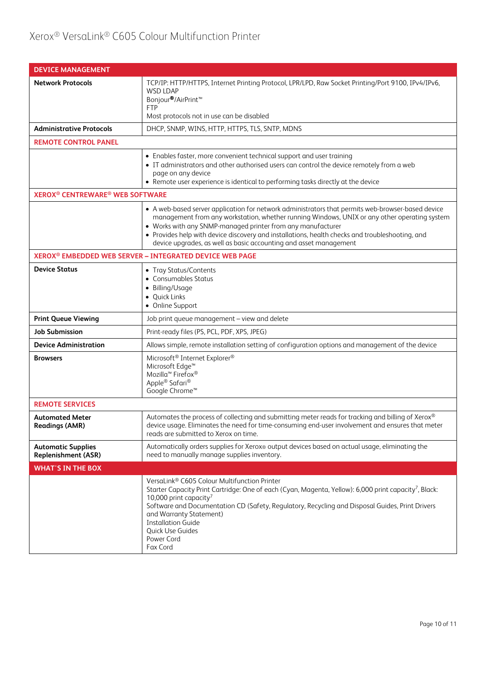| <b>DEVICE MANAGEMENT</b>                                     |                                                                                                                                                                                                                                                                                                                                                                                                                                          |
|--------------------------------------------------------------|------------------------------------------------------------------------------------------------------------------------------------------------------------------------------------------------------------------------------------------------------------------------------------------------------------------------------------------------------------------------------------------------------------------------------------------|
| <b>Network Protocols</b>                                     | TCP/IP: HTTP/HTTPS, Internet Printing Protocol, LPR/LPD, Raw Socket Printing/Port 9100, IPv4/IPv6,<br><b>WSD LDAP</b><br>Bonjour <sup>®</sup> /AirPrint <sup>™</sup><br><b>FTP</b><br>Most protocols not in use can be disabled                                                                                                                                                                                                          |
| <b>Administrative Protocols</b>                              | DHCP, SNMP, WINS, HTTP, HTTPS, TLS, SNTP, MDNS                                                                                                                                                                                                                                                                                                                                                                                           |
| <b>REMOTE CONTROL PANEL</b>                                  |                                                                                                                                                                                                                                                                                                                                                                                                                                          |
|                                                              | • Enables faster, more convenient technical support and user training<br>• IT administrators and other authorised users can control the device remotely from a web<br>page on any device<br>• Remote user experience is identical to performing tasks directly at the device                                                                                                                                                             |
| <b>XEROX<sup>®</sup> CENTREWARE<sup>®</sup> WEB SOFTWARE</b> |                                                                                                                                                                                                                                                                                                                                                                                                                                          |
|                                                              | • A web-based server application for network administrators that permits web-browser-based device<br>management from any workstation, whether running Windows, UNIX or any other operating system<br>• Works with any SNMP-managed printer from any manufacturer<br>• Provides help with device discovery and installations, health checks and troubleshooting, and<br>device upgrades, as well as basic accounting and asset management |
|                                                              | XEROX <sup>®</sup> EMBEDDED WEB SERVER - INTEGRATED DEVICE WEB PAGE                                                                                                                                                                                                                                                                                                                                                                      |
| <b>Device Status</b>                                         | • Tray Status/Contents<br>• Consumables Status<br>• Billing/Usage<br>• Quick Links<br>• Online Support                                                                                                                                                                                                                                                                                                                                   |
| <b>Print Queue Viewing</b>                                   | Job print queue management - view and delete                                                                                                                                                                                                                                                                                                                                                                                             |
| <b>Job Submission</b>                                        | Print-ready files (PS, PCL, PDF, XPS, JPEG)                                                                                                                                                                                                                                                                                                                                                                                              |
| <b>Device Administration</b>                                 | Allows simple, remote installation setting of configuration options and management of the device                                                                                                                                                                                                                                                                                                                                         |
| <b>Browsers</b>                                              | Microsoft <sup>®</sup> Internet Explorer <sup>®</sup><br>Microsoft Edge <sup>™</sup><br>Mozilla <sup>™</sup> Firefox <sup>®</sup><br>Apple® Safari®<br>Google Chrome™                                                                                                                                                                                                                                                                    |
| <b>REMOTE SERVICES</b>                                       |                                                                                                                                                                                                                                                                                                                                                                                                                                          |
| <b>Automated Meter</b><br><b>Readings (AMR)</b>              | Automates the process of collecting and submitting meter reads for tracking and billing of Xerox®<br>device usage. Eliminates the need for time-consuming end-user involvement and ensures that meter<br>reads are submitted to Xerox on time.                                                                                                                                                                                           |
| <b>Automatic Supplies</b><br><b>Replenishment (ASR)</b>      | Automatically orders supplies for Xerox® output devices based on actual usage, eliminating the<br>need to manually manage supplies inventory.                                                                                                                                                                                                                                                                                            |
| <b>WHAT'S IN THE BOX</b>                                     |                                                                                                                                                                                                                                                                                                                                                                                                                                          |
|                                                              | VersaLink® C605 Colour Multifunction Printer<br>Starter Capacity Print Cartridge: One of each (Cyan, Magenta, Yellow): 6,000 print capacity <sup>7</sup> , Black:<br>10,000 print capacity <sup>7</sup><br>Software and Documentation CD (Safety, Regulatory, Recycling and Disposal Guides, Print Drivers<br>and Warranty Statement)<br><b>Installation Guide</b><br>Quick Use Guides<br>Power Cord<br>Fax Cord                         |